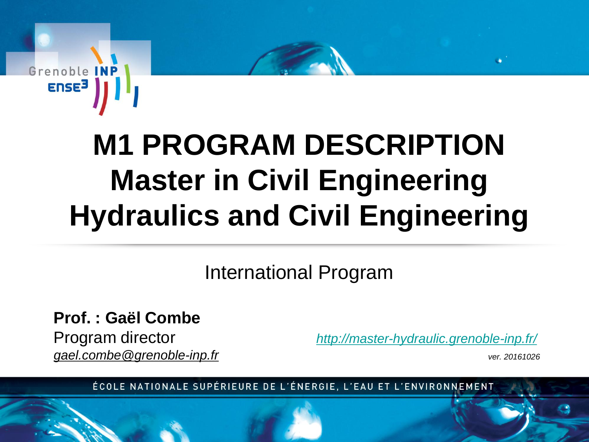

# **M1 PROGRAM DESCRIPTION Master in Civil Engineering Hydraulics and Civil Engineering**

### International Program

**Prof. : Gaël Combe**  *gael.combe@grenoble-inp.fr ver. 20161026*

Program director *<http://master-hydraulic.grenoble-inp.fr/>*

ÉCOLE NATIONALE SUPÉRIEURE DE L'ÉNERGIE, L'EAU ET L'ENVIRONNEMENT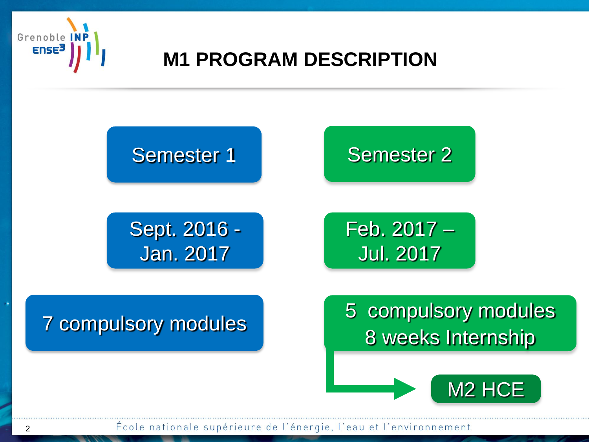

### **M1 PROGRAM DESCRIPTION**



École nationale supérieure de l'énergie, l'eau et l'environnement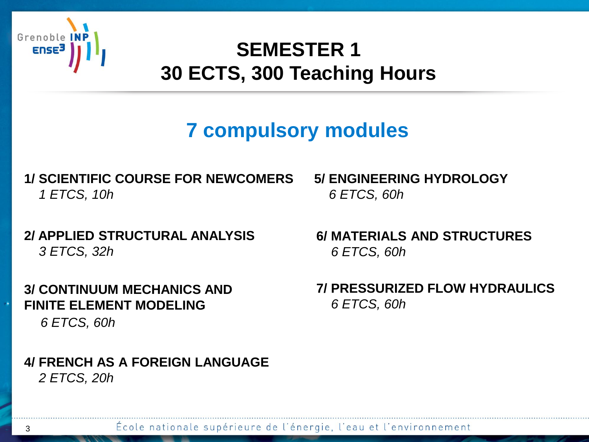

### **SEMESTER 1 30 ECTS, 300 Teaching Hours**

# **7 compulsory modules**

#### **1/ SCIENTIFIC COURSE FOR NEWCOMERS** *1 ETCS, 10h*

#### **2/ APPLIED STRUCTURAL ANALYSIS** *3 ETCS, 32h*

**3/ CONTINUUM MECHANICS AND FINITE ELEMENT MODELING** *6 ETCS, 60h*

#### **4/ FRENCH AS A FOREIGN LANGUAGE**  *2 ETCS, 20h*

**5/ ENGINEERING HYDROLOGY** *6 ETCS, 60h*

**6/ MATERIALS AND STRUCTURES** *6 ETCS, 60h*

**7/ PRESSURIZED FLOW HYDRAULICS** *6 ETCS, 60h*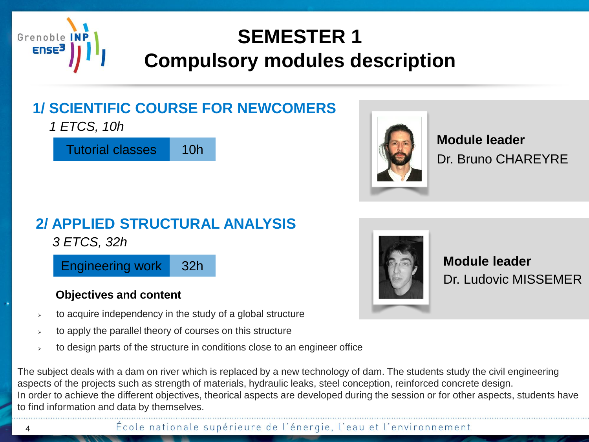

### **1/ SCIENTIFIC COURSE FOR NEWCOMERS**

*1 ETCS, 10h*

Tutorial classes 10h



Dr. Bruno CHAREYRE **Module leader**

Dr. Ludovic MISSEMER

**Module leader**

### **2/ APPLIED STRUCTURAL ANALYSIS**

*3 ETCS, 32h*

Engineering work 32h

#### **Objectives and content**

- to acquire independency in the study of a global structure
- to apply the parallel theory of courses on this structure
- to design parts of the structure in conditions close to an engineer office

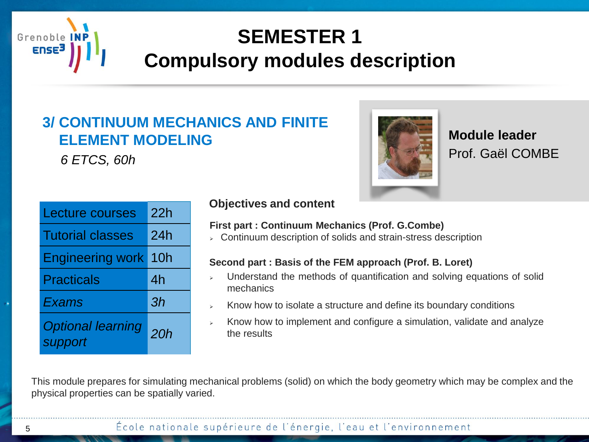

### **3/ CONTINUUM MECHANICS AND FINITE ELEMENT MODELING**

*6 ETCS, 60h*

Prof. Gaël COMBE **Module leader**

| <b>Lecture courses</b>              | 22h |
|-------------------------------------|-----|
| <b>Tutorial classes</b>             | 24h |
| <b>Engineering work</b>             | 10h |
| <b>Practicals</b>                   | 4h  |
| <b>Exams</b>                        | 3h  |
| <b>Optional learning</b><br>support | 20h |

#### **Objectives and content**

#### **First part : Continuum Mechanics (Prof. G.Combe)**

 $\triangleright$  Continuum description of solids and strain-stress description

#### **Second part : Basis of the FEM approach (Prof. B. Loret)**

- Understand the methods of quantification and solving equations of solid mechanics
- Know how to isolate a structure and define its boundary conditions
- $\triangleright$  Know how to implement and configure a simulation, validate and analyze the results

This module prepares for simulating mechanical problems (solid) on which the body geometry which may be complex and the physical properties can be spatially varied.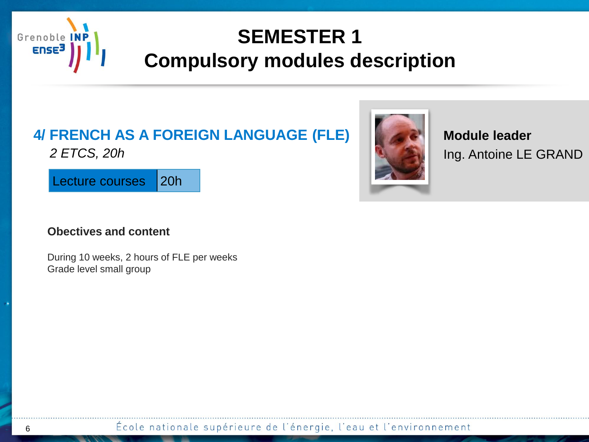

#### **4/ FRENCH AS A FOREIGN LANGUAGE (FLE)** *2 ETCS, 20h*

Lecture courses | 20h

#### **Obectives and content**

During 10 weeks, 2 hours of FLE per weeks Grade level small group

Ing. Antoine LE GRAND **Module leader**

École nationale supérieure de l'énergie, l'eau et l'environnement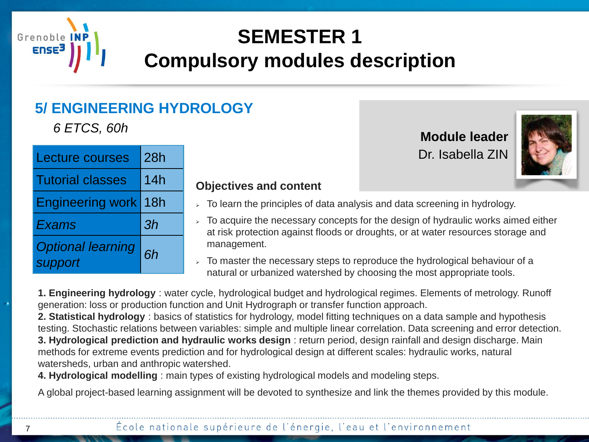

### **5/ ENGINEERING HYDROLOGY**

**6 ETCS, 60h Module leader** 

| <b>Lecture courses</b>              | 28h |  |
|-------------------------------------|-----|--|
| <b>Tutorial classes</b>             | 14h |  |
| Engineering work 18h                |     |  |
| Exams                               | 3h  |  |
| <b>Optional learning</b><br>support | 6h  |  |

#### **Objectives and content**

- $\geq$  To learn the principles of data analysis and data screening in hydrology.
- $>$  To acquire the necessary concepts for the design of hydraulic works aimed either at risk protection against floods or droughts, or at water resources storage and management.

Dr. Isabella ZIN

 $\overline{\phantom{a}}$  To master the necessary steps to reproduce the hydrological behaviour of a natural or urbanized watershed by choosing the most appropriate tools.

**1. Engineering hydrology** : water cycle, hydrological budget and hydrological regimes. Elements of metrology. Runoff generation: loss or production function and Unit Hydrograph or transfer function approach.

**2. Statistical hydrology** : basics of statistics for hydrology, model fitting techniques on a data sample and hypothesis testing. Stochastic relations between variables: simple and multiple linear correlation. Data screening and error detection. **3. Hydrological prediction and hydraulic works design** : return period, design rainfall and design discharge. Main methods for extreme events prediction and for hydrological design at different scales: hydraulic works, natural watersheds, urban and anthropic watershed.

**4. Hydrological modelling** : main types of existing hydrological models and modeling steps.

A global project-based learning assignment will be devoted to synthesize and link the themes provided by this module.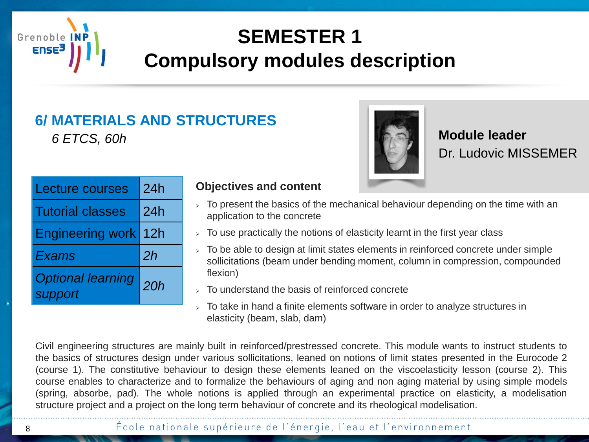

#### **6/ MATERIALS AND STRUCTURES** *6 ETCS, 60h*



Dr. Ludovic MISSEMER **Module leader**

| <b>Lecture courses</b>              | 24h |  |
|-------------------------------------|-----|--|
| <b>Tutorial classes</b>             | 24h |  |
| Engineering work 12h                |     |  |
| Exams                               | 2h  |  |
| <b>Optional learning</b><br>support | 20h |  |

#### **Objectives and content**

- $\overline{P}$  To present the basics of the mechanical behaviour depending on the time with an application to the concrete
- $\geq$  To use practically the notions of elasticity learnt in the first year class
- $\rightarrow$  To be able to design at limit states elements in reinforced concrete under simple sollicitations (beam under bending moment, column in compression, compounded flexion)
- To understand the basis of reinforced concrete
- $>$  To take in hand a finite elements software in order to analyze structures in elasticity (beam, slab, dam)

Civil engineering structures are mainly built in reinforced/prestressed concrete. This module wants to instruct students to the basics of structures design under various sollicitations, leaned on notions of limit states presented in the Eurocode 2 (course 1). The constitutive behaviour to design these elements leaned on the viscoelasticity lesson (course 2). This course enables to characterize and to formalize the behaviours of aging and non aging material by using simple models (spring, absorbe, pad). The whole notions is applied through an experimental practice on elasticity, a modelisation structure project and a project on the long term behaviour of concrete and its rheological modelisation.

#### École nationale supérieure de l'énergie, l'eau et l'environnement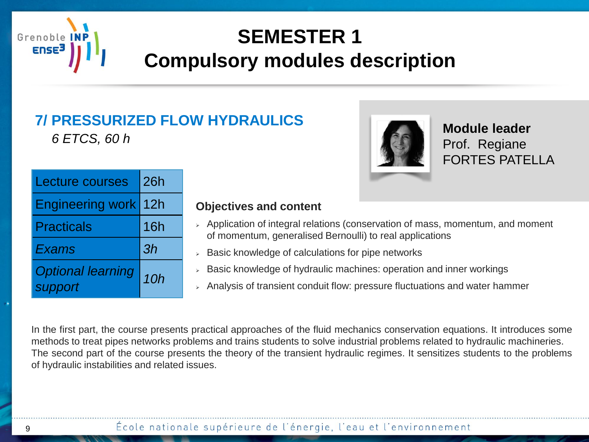

### **7/ PRESSURIZED FLOW HYDRAULICS**

*6 ETCS, 60 h*



**Module leader** Prof. Regiane FORTES PATELLA

| <b>Lecture courses</b>              | <b>26h</b> |  |
|-------------------------------------|------------|--|
| Engineering work 12h                |            |  |
| <b>Practicals</b>                   | 16h        |  |
| Exams                               | 3h         |  |
| <b>Optional learning</b><br>support | 10h        |  |

#### **Objectives and content**

- $\rightarrow$  Application of integral relations (conservation of mass, momentum, and moment of momentum, generalised Bernoulli) to real applications
- $\triangleright$  Basic knowledge of calculations for pipe networks
- $>$  Basic knowledge of hydraulic machines: operation and inner workings
- $\rightarrow$  Analysis of transient conduit flow: pressure fluctuations and water hammer

In the first part, the course presents practical approaches of the fluid mechanics conservation equations. It introduces some methods to treat pipes networks problems and trains students to solve industrial problems related to hydraulic machineries. The second part of the course presents the theory of the transient hydraulic regimes. It sensitizes students to the problems of hydraulic instabilities and related issues.